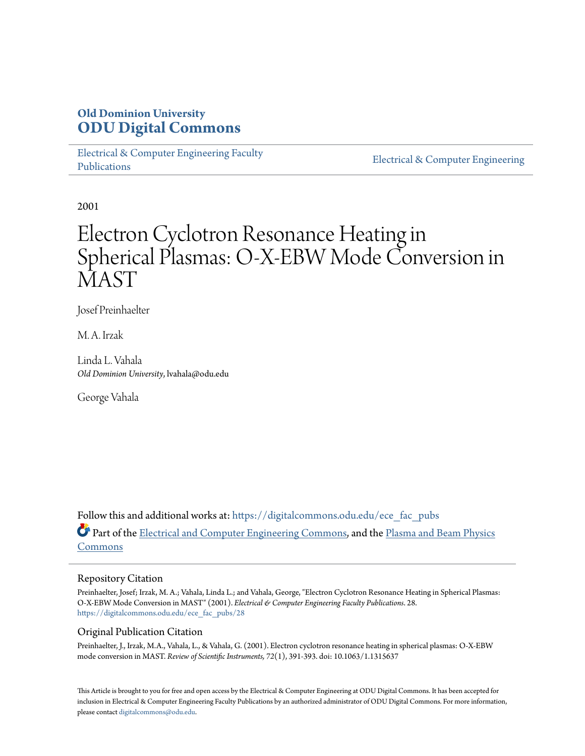# **Old Dominion University [ODU Digital Commons](https://digitalcommons.odu.edu?utm_source=digitalcommons.odu.edu%2Fece_fac_pubs%2F28&utm_medium=PDF&utm_campaign=PDFCoverPages)**

[Electrical & Computer Engineering Faculty](https://digitalcommons.odu.edu/ece_fac_pubs?utm_source=digitalcommons.odu.edu%2Fece_fac_pubs%2F28&utm_medium=PDF&utm_campaign=PDFCoverPages) [Publications](https://digitalcommons.odu.edu/ece_fac_pubs?utm_source=digitalcommons.odu.edu%2Fece_fac_pubs%2F28&utm_medium=PDF&utm_campaign=PDFCoverPages)

[Electrical & Computer Engineering](https://digitalcommons.odu.edu/ece?utm_source=digitalcommons.odu.edu%2Fece_fac_pubs%2F28&utm_medium=PDF&utm_campaign=PDFCoverPages)

2001

# Electron Cyclotron Resonance Heating in Spherical Plasmas: O-X-EBW Mode Conversion in **MAST**

Josef Preinhaelter

M. A. Irzak

Linda L. Vahala *Old Dominion University*, lvahala@odu.edu

George Vahala

Follow this and additional works at: [https://digitalcommons.odu.edu/ece\\_fac\\_pubs](https://digitalcommons.odu.edu/ece_fac_pubs?utm_source=digitalcommons.odu.edu%2Fece_fac_pubs%2F28&utm_medium=PDF&utm_campaign=PDFCoverPages) Part of the [Electrical and Computer Engineering Commons](http://network.bepress.com/hgg/discipline/266?utm_source=digitalcommons.odu.edu%2Fece_fac_pubs%2F28&utm_medium=PDF&utm_campaign=PDFCoverPages), and the [Plasma and Beam Physics](http://network.bepress.com/hgg/discipline/205?utm_source=digitalcommons.odu.edu%2Fece_fac_pubs%2F28&utm_medium=PDF&utm_campaign=PDFCoverPages) [Commons](http://network.bepress.com/hgg/discipline/205?utm_source=digitalcommons.odu.edu%2Fece_fac_pubs%2F28&utm_medium=PDF&utm_campaign=PDFCoverPages)

### Repository Citation

Preinhaelter, Josef; Irzak, M. A.; Vahala, Linda L.; and Vahala, George, "Electron Cyclotron Resonance Heating in Spherical Plasmas: O-X-EBW Mode Conversion in MAST" (2001). *Electrical & Computer Engineering Faculty Publications*. 28. [https://digitalcommons.odu.edu/ece\\_fac\\_pubs/28](https://digitalcommons.odu.edu/ece_fac_pubs/28?utm_source=digitalcommons.odu.edu%2Fece_fac_pubs%2F28&utm_medium=PDF&utm_campaign=PDFCoverPages)

## Original Publication Citation

Preinhaelter, J., Irzak, M.A., Vahala, L., & Vahala, G. (2001). Electron cyclotron resonance heating in spherical plasmas: O-X-EBW mode conversion in MAST. *Review of Scientific Instruments, 72*(1), 391-393. doi: 10.1063/1.1315637

This Article is brought to you for free and open access by the Electrical & Computer Engineering at ODU Digital Commons. It has been accepted for inclusion in Electrical & Computer Engineering Faculty Publications by an authorized administrator of ODU Digital Commons. For more information, please contact [digitalcommons@odu.edu](mailto:digitalcommons@odu.edu).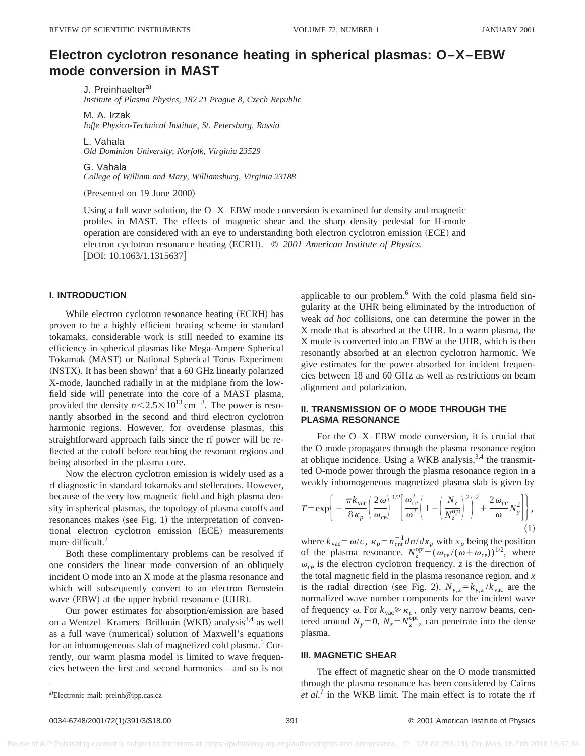# **Electron cyclotron resonance heating in spherical plasmas: O–X–EBW mode conversion in MAST**

J. Preinhaelter<sup>a)</sup>

*Institute of Plasma Physics, 182 21 Prague 8, Czech Republic*

M. A. Irzak *Ioffe Physico-Technical Institute, St. Petersburg, Russia*

L. Vahala *Old Dominion University, Norfolk, Virginia 23529*

G. Vahala *College of William and Mary, Williamsburg, Virginia 23188*

(Presented on 19 June 2000)

Using a full wave solution, the  $O-X-EBW$  mode conversion is examined for density and magnetic profiles in MAST. The effects of magnetic shear and the sharp density pedestal for H-mode operation are considered with an eye to understanding both electron cyclotron emission (ECE) and electron cyclotron resonance heating (ECRH). © 2001 American Institute of Physics.  $[$ DOI: 10.1063/1.1315637 $]$ 

#### **I. INTRODUCTION**

While electron cyclotron resonance heating (ECRH) has proven to be a highly efficient heating scheme in standard tokamaks, considerable work is still needed to examine its efficiency in spherical plasmas like Mega-Ampere Spherical Tokamak (MAST) or National Spherical Torus Experiment (NSTX). It has been shown<sup>1</sup> that a 60 GHz linearly polarized X-mode, launched radially in at the midplane from the lowfield side will penetrate into the core of a MAST plasma, provided the density  $n < 2.5 \times 10^{13}$  cm<sup>-3</sup>. The power is resonantly absorbed in the second and third electron cyclotron harmonic regions. However, for overdense plasmas, this straightforward approach fails since the rf power will be reflected at the cutoff before reaching the resonant regions and being absorbed in the plasma core.

Now the electron cyclotron emission is widely used as a rf diagnostic in standard tokamaks and stellerators. However, because of the very low magnetic field and high plasma density in spherical plasmas, the topology of plasma cutoffs and resonances makes (see Fig. 1) the interpretation of conventional electron cyclotron emission (ECE) measurements more difficult.<sup>2</sup>

Both these complimentary problems can be resolved if one considers the linear mode conversion of an obliquely incident O mode into an X mode at the plasma resonance and which will subsequently convert to an electron Bernstein wave  $(EBW)$  at the upper hybrid resonance  $(UHR)$ .

Our power estimates for absorption/emission are based on a Wentzel–Kramers–Brillouin (WKB) analysis<sup>3,4</sup> as well as a full wave (numerical) solution of Maxwell's equations for an inhomogeneous slab of magnetized cold plasma.<sup>5</sup> Currently, our warm plasma model is limited to wave frequencies between the first and second harmonics—and so is not applicable to our problem.<sup>6</sup> With the cold plasma field singularity at the UHR being eliminated by the introduction of weak *ad hoc* collisions, one can determine the power in the X mode that is absorbed at the UHR. In a warm plasma, the X mode is converted into an EBW at the UHR, which is then resonantly absorbed at an electron cyclotron harmonic. We give estimates for the power absorbed for incident frequencies between 18 and 60 GHz as well as restrictions on beam alignment and polarization.

#### **II. TRANSMISSION OF O MODE THROUGH THE PLASMA RESONANCE**

For the O–X–EBW mode conversion, it is crucial that the O mode propagates through the plasma resonance region at oblique incidence. Using a WKB analysis,  $3,4$  the transmitted O-mode power through the plasma resonance region in a weakly inhomogeneous magnetized plasma slab is given by

$$
T = \exp\bigg\{-\frac{\pi k_{\rm vac}}{8\,\kappa_p} \bigg(\frac{2\,\omega}{\omega_{\rm ce}}\bigg)^{1/2} \bigg[\frac{\omega_{\rm ce}^2}{\omega^2} \bigg(1 - \bigg(\frac{N_z}{N_z^{\rm opt}}\bigg)^2\bigg)^2 + \frac{2\,\omega_{\rm ce}}{\omega}N_y^2\bigg]\bigg\},\tag{1}
$$

where  $k_{\text{vac}} = \omega/c$ ,  $\kappa_p = n_{\text{cnt}}^{-1} \frac{dn}{dx_p}$  with  $x_p$  being the position of the plasma resonance.  $N_z^{\text{opt}} = (\omega_{\text{ce}}/(\omega + \omega_{\text{ce}}))^{1/2}$ , where  $\omega_{ce}$  is the electron cyclotron frequency. *z* is the direction of the total magnetic field in the plasma resonance region, and *x* is the radial direction (see Fig. 2).  $N_{y,z} = k_{y,z} / k_{\text{vac}}$  are the normalized wave number components for the incident wave of frequency  $\omega$ . For  $k_{\text{vac}} \gg \kappa_p$ , only very narrow beams, centered around  $N_y=0$ ,  $N_z=N_z^{\text{opt}}$ , can penetrate into the dense plasma.

#### **III. MAGNETIC SHEAR**

The effect of magnetic shear on the O mode transmitted through the plasma resonance has been considered by Cairns *et al.*<sup>7</sup> in the WKB limit. The main effect is to rotate the rf

0034-6748/2001/72(1)/391/3/\$18.00 © 2001 American Institute of Physics 391

a)Electronic mail: preinh@ipp.cas.cz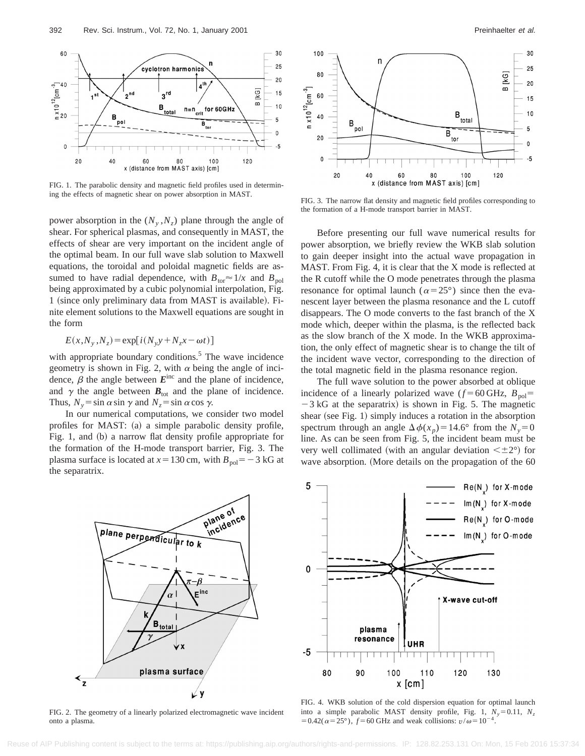

FIG. 1. The parabolic density and magnetic field profiles used in determining the effects of magnetic shear on power absorption in MAST.

power absorption in the  $(N_v, N_z)$  plane through the angle of shear. For spherical plasmas, and consequently in MAST, the effects of shear are very important on the incident angle of the optimal beam. In our full wave slab solution to Maxwell equations, the toroidal and poloidal magnetic fields are assumed to have radial dependence, with  $B_{\text{tor}} \approx 1/x$  and  $B_{\text{pol}}$ being approximated by a cubic polynomial interpolation, Fig. 1 (since only preliminary data from MAST is available). Finite element solutions to the Maxwell equations are sought in the form

$$
E(x, N_y, N_z) = \exp[i(N_y y + N_z x - \omega t)]
$$

with appropriate boundary conditions.<sup>5</sup> The wave incidence geometry is shown in Fig. 2, with  $\alpha$  being the angle of incidence,  $\beta$  the angle between  $E^{\text{inc}}$  and the plane of incidence, and  $\gamma$  the angle between  $B_{\text{tot}}$  and the plane of incidence. Thus,  $N_v = \sin \alpha \sin \gamma$  and  $N_z = \sin \alpha \cos \gamma$ .

In our numerical computations, we consider two model profiles for MAST:  $(a)$  a simple parabolic density profile, Fig. 1, and (b) a narrow flat density profile appropriate for the formation of the H-mode transport barrier, Fig. 3. The plasma surface is located at  $x=130$  cm, with  $B_{\text{pol}}=-3$  kG at the separatrix.



FIG. 2. The geometry of a linearly polarized electromagnetic wave incident onto a plasma.



FIG. 3. The narrow flat density and magnetic field profiles corresponding to the formation of a H-mode transport barrier in MAST.

Before presenting our full wave numerical results for power absorption, we briefly review the WKB slab solution to gain deeper insight into the actual wave propagation in MAST. From Fig. 4, it is clear that the X mode is reflected at the R cutoff while the O mode penetrates through the plasma resonance for optimal launch ( $\alpha=25^{\circ}$ ) since then the evanescent layer between the plasma resonance and the L cutoff disappears. The O mode converts to the fast branch of the X mode which, deeper within the plasma, is the reflected back as the slow branch of the X mode. In the WKB approximation, the only effect of magnetic shear is to change the tilt of the incident wave vector, corresponding to the direction of the total magnetic field in the plasma resonance region.

The full wave solution to the power absorbed at oblique incidence of a linearly polarized wave  $(f=60 \text{ GHz}, B_{\text{pol}}=$  $-3$  kG at the separatrix) is shown in Fig. 5. The magnetic shear (see Fig. 1) simply induces a rotation in the absorption spectrum through an angle  $\Delta \phi(x_p) = 14.6^\circ$  from the  $N_y = 0$ line. As can be seen from Fig. 5, the incident beam must be very well collimated (with an angular deviation  $\leq \pm 2^{\circ}$ ) for wave absorption. (More details on the propagation of the 60



FIG. 4. WKB solution of the cold dispersion equation for optimal launch into a simple parabolic MAST density profile, Fig. 1,  $N_y = 0.11$ ,  $N_z$  $=0.42(\alpha=25^{\circ})$ ,  $f=60$  GHz and weak collisions:  $v/\omega=10^{-4}$ .